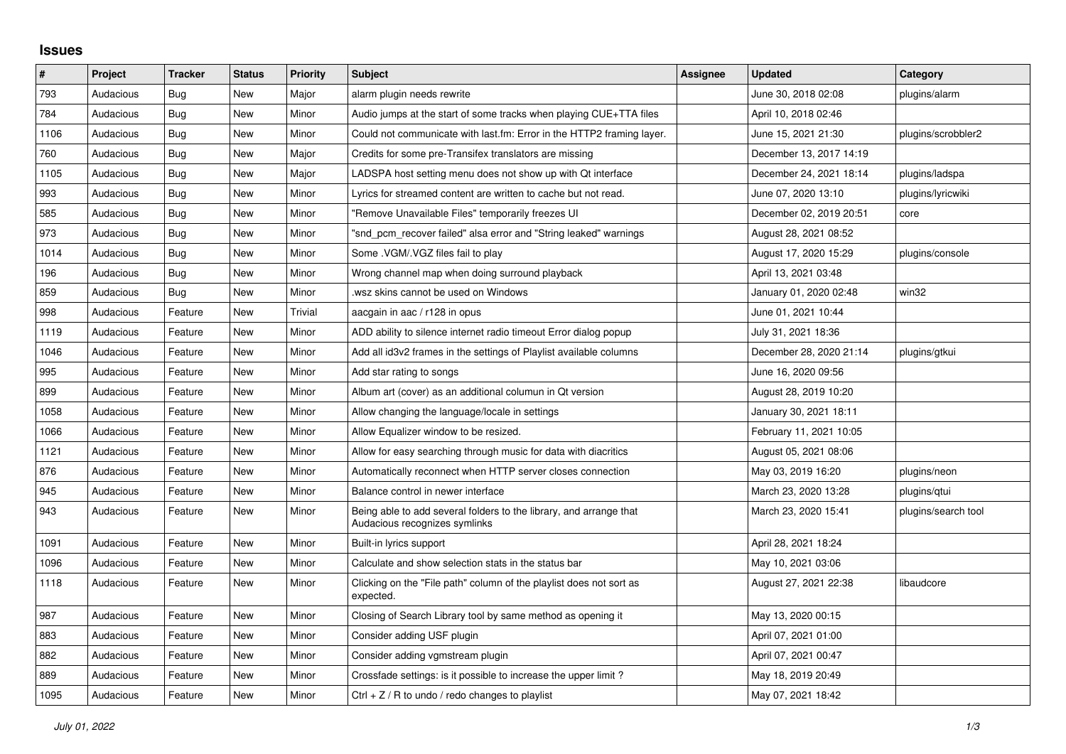## **Issues**

| #    | Project   | <b>Tracker</b> | <b>Status</b> | <b>Priority</b> | Subject                                                                                             | <b>Assignee</b> | <b>Updated</b>          | Category            |
|------|-----------|----------------|---------------|-----------------|-----------------------------------------------------------------------------------------------------|-----------------|-------------------------|---------------------|
| 793  | Audacious | <b>Bug</b>     | <b>New</b>    | Major           | alarm plugin needs rewrite                                                                          |                 | June 30, 2018 02:08     | plugins/alarm       |
| 784  | Audacious | Bug            | <b>New</b>    | Minor           | Audio jumps at the start of some tracks when playing CUE+TTA files                                  |                 | April 10, 2018 02:46    |                     |
| 1106 | Audacious | <b>Bug</b>     | <b>New</b>    | Minor           | Could not communicate with last.fm: Error in the HTTP2 framing layer.                               |                 | June 15, 2021 21:30     | plugins/scrobbler2  |
| 760  | Audacious | <b>Bug</b>     | <b>New</b>    | Major           | Credits for some pre-Transifex translators are missing                                              |                 | December 13, 2017 14:19 |                     |
| 1105 | Audacious | Bug            | New           | Major           | LADSPA host setting menu does not show up with Qt interface                                         |                 | December 24, 2021 18:14 | plugins/ladspa      |
| 993  | Audacious | Bug            | <b>New</b>    | Minor           | Lyrics for streamed content are written to cache but not read.                                      |                 | June 07, 2020 13:10     | plugins/lyricwiki   |
| 585  | Audacious | <b>Bug</b>     | New           | Minor           | "Remove Unavailable Files" temporarily freezes UI                                                   |                 | December 02, 2019 20:51 | core                |
| 973  | Audacious | Bug            | <b>New</b>    | Minor           | "snd pcm recover failed" alsa error and "String leaked" warnings                                    |                 | August 28, 2021 08:52   |                     |
| 1014 | Audacious | Bug            | <b>New</b>    | Minor           | Some .VGM/.VGZ files fail to play                                                                   |                 | August 17, 2020 15:29   | plugins/console     |
| 196  | Audacious | Bug            | <b>New</b>    | Minor           | Wrong channel map when doing surround playback                                                      |                 | April 13, 2021 03:48    |                     |
| 859  | Audacious | Bug            | New           | Minor           | wsz skins cannot be used on Windows.                                                                |                 | January 01, 2020 02:48  | win32               |
| 998  | Audacious | Feature        | <b>New</b>    | Trivial         | aacgain in aac / r128 in opus                                                                       |                 | June 01, 2021 10:44     |                     |
| 1119 | Audacious | Feature        | New           | Minor           | ADD ability to silence internet radio timeout Error dialog popup                                    |                 | July 31, 2021 18:36     |                     |
| 1046 | Audacious | Feature        | <b>New</b>    | Minor           | Add all id3v2 frames in the settings of Playlist available columns                                  |                 | December 28, 2020 21:14 | plugins/gtkui       |
| 995  | Audacious | Feature        | New           | Minor           | Add star rating to songs                                                                            |                 | June 16, 2020 09:56     |                     |
| 899  | Audacious | Feature        | <b>New</b>    | Minor           | Album art (cover) as an additional columun in Qt version                                            |                 | August 28, 2019 10:20   |                     |
| 1058 | Audacious | Feature        | <b>New</b>    | Minor           | Allow changing the language/locale in settings                                                      |                 | January 30, 2021 18:11  |                     |
| 1066 | Audacious | Feature        | <b>New</b>    | Minor           | Allow Equalizer window to be resized.                                                               |                 | February 11, 2021 10:05 |                     |
| 1121 | Audacious | Feature        | <b>New</b>    | Minor           | Allow for easy searching through music for data with diacritics                                     |                 | August 05, 2021 08:06   |                     |
| 876  | Audacious | Feature        | New           | Minor           | Automatically reconnect when HTTP server closes connection                                          |                 | May 03, 2019 16:20      | plugins/neon        |
| 945  | Audacious | Feature        | <b>New</b>    | Minor           | Balance control in newer interface                                                                  |                 | March 23, 2020 13:28    | plugins/gtui        |
| 943  | Audacious | Feature        | New           | Minor           | Being able to add several folders to the library, and arrange that<br>Audacious recognizes symlinks |                 | March 23, 2020 15:41    | plugins/search tool |
| 1091 | Audacious | Feature        | <b>New</b>    | Minor           | Built-in lyrics support                                                                             |                 | April 28, 2021 18:24    |                     |
| 1096 | Audacious | Feature        | <b>New</b>    | Minor           | Calculate and show selection stats in the status bar                                                |                 | May 10, 2021 03:06      |                     |
| 1118 | Audacious | Feature        | <b>New</b>    | Minor           | Clicking on the "File path" column of the playlist does not sort as<br>expected.                    |                 | August 27, 2021 22:38   | libaudcore          |
| 987  | Audacious | Feature        | <b>New</b>    | Minor           | Closing of Search Library tool by same method as opening it                                         |                 | May 13, 2020 00:15      |                     |
| 883  | Audacious | Feature        | New           | Minor           | Consider adding USF plugin                                                                          |                 | April 07, 2021 01:00    |                     |
| 882  | Audacious | Feature        | New           | Minor           | Consider adding vgmstream plugin                                                                    |                 | April 07, 2021 00:47    |                     |
| 889  | Audacious | Feature        | <b>New</b>    | Minor           | Crossfade settings: is it possible to increase the upper limit?                                     |                 | May 18, 2019 20:49      |                     |
| 1095 | Audacious | Feature        | <b>New</b>    | Minor           | Ctrl $+$ Z / R to undo / redo changes to playlist                                                   |                 | May 07, 2021 18:42      |                     |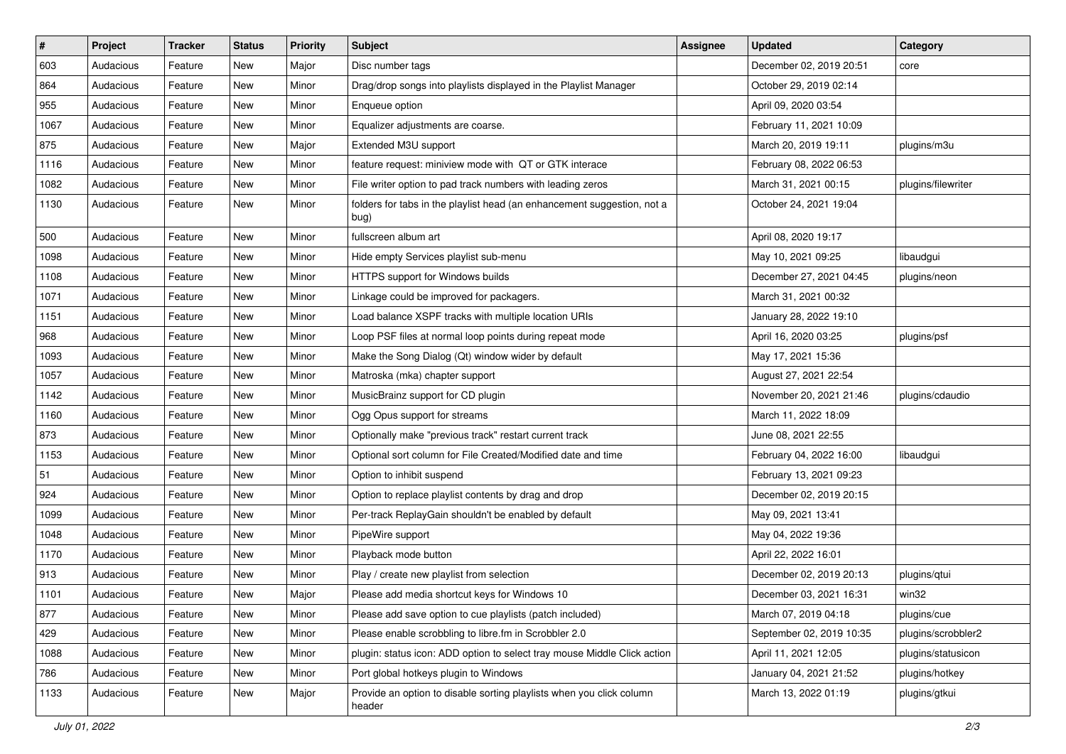| $\#$ | Project   | <b>Tracker</b> | <b>Status</b> | <b>Priority</b> | <b>Subject</b>                                                                  | <b>Assignee</b> | <b>Updated</b>           | Category           |
|------|-----------|----------------|---------------|-----------------|---------------------------------------------------------------------------------|-----------------|--------------------------|--------------------|
| 603  | Audacious | Feature        | <b>New</b>    | Major           | Disc number tags                                                                |                 | December 02, 2019 20:51  | core               |
| 864  | Audacious | Feature        | <b>New</b>    | Minor           | Drag/drop songs into playlists displayed in the Playlist Manager                |                 | October 29, 2019 02:14   |                    |
| 955  | Audacious | Feature        | New           | Minor           | Enqueue option                                                                  |                 | April 09, 2020 03:54     |                    |
| 1067 | Audacious | Feature        | <b>New</b>    | Minor           | Equalizer adjustments are coarse.                                               |                 | February 11, 2021 10:09  |                    |
| 875  | Audacious | Feature        | New           | Major           | Extended M3U support                                                            |                 | March 20, 2019 19:11     | plugins/m3u        |
| 1116 | Audacious | Feature        | New           | Minor           | feature request: miniview mode with QT or GTK interace                          |                 | February 08, 2022 06:53  |                    |
| 1082 | Audacious | Feature        | <b>New</b>    | Minor           | File writer option to pad track numbers with leading zeros                      |                 | March 31, 2021 00:15     | plugins/filewriter |
| 1130 | Audacious | Feature        | New           | Minor           | folders for tabs in the playlist head (an enhancement suggestion, not a<br>bug) |                 | October 24, 2021 19:04   |                    |
| 500  | Audacious | Feature        | <b>New</b>    | Minor           | fullscreen album art                                                            |                 | April 08, 2020 19:17     |                    |
| 1098 | Audacious | Feature        | <b>New</b>    | Minor           | Hide empty Services playlist sub-menu                                           |                 | May 10, 2021 09:25       | libaudgui          |
| 1108 | Audacious | Feature        | <b>New</b>    | Minor           | HTTPS support for Windows builds                                                |                 | December 27, 2021 04:45  | plugins/neon       |
| 1071 | Audacious | Feature        | New           | Minor           | Linkage could be improved for packagers.                                        |                 | March 31, 2021 00:32     |                    |
| 1151 | Audacious | Feature        | New           | Minor           | Load balance XSPF tracks with multiple location URIs                            |                 | January 28, 2022 19:10   |                    |
| 968  | Audacious | Feature        | <b>New</b>    | Minor           | Loop PSF files at normal loop points during repeat mode                         |                 | April 16, 2020 03:25     | plugins/psf        |
| 1093 | Audacious | Feature        | New           | Minor           | Make the Song Dialog (Qt) window wider by default                               |                 | May 17, 2021 15:36       |                    |
| 1057 | Audacious | Feature        | New           | Minor           | Matroska (mka) chapter support                                                  |                 | August 27, 2021 22:54    |                    |
| 1142 | Audacious | Feature        | New           | Minor           | MusicBrainz support for CD plugin                                               |                 | November 20, 2021 21:46  | plugins/cdaudio    |
| 1160 | Audacious | Feature        | New           | Minor           | Ogg Opus support for streams                                                    |                 | March 11, 2022 18:09     |                    |
| 873  | Audacious | Feature        | <b>New</b>    | Minor           | Optionally make "previous track" restart current track                          |                 | June 08, 2021 22:55      |                    |
| 1153 | Audacious | Feature        | New           | Minor           | Optional sort column for File Created/Modified date and time                    |                 | February 04, 2022 16:00  | libaudgui          |
| 51   | Audacious | Feature        | New           | Minor           | Option to inhibit suspend                                                       |                 | February 13, 2021 09:23  |                    |
| 924  | Audacious | Feature        | New           | Minor           | Option to replace playlist contents by drag and drop                            |                 | December 02, 2019 20:15  |                    |
| 1099 | Audacious | Feature        | New           | Minor           | Per-track ReplayGain shouldn't be enabled by default                            |                 | May 09, 2021 13:41       |                    |
| 1048 | Audacious | Feature        | <b>New</b>    | Minor           | PipeWire support                                                                |                 | May 04, 2022 19:36       |                    |
| 1170 | Audacious | Feature        | New           | Minor           | Playback mode button                                                            |                 | April 22, 2022 16:01     |                    |
| 913  | Audacious | Feature        | New           | Minor           | Play / create new playlist from selection                                       |                 | December 02, 2019 20:13  | plugins/qtui       |
| 1101 | Audacious | Feature        | <b>New</b>    | Major           | Please add media shortcut keys for Windows 10                                   |                 | December 03, 2021 16:31  | win32              |
| 877  | Audacious | Feature        | New           | Minor           | Please add save option to cue playlists (patch included)                        |                 | March 07, 2019 04:18     | plugins/cue        |
| 429  | Audacious | Feature        | New           | Minor           | Please enable scrobbling to libre.fm in Scrobbler 2.0                           |                 | September 02, 2019 10:35 | plugins/scrobbler2 |
| 1088 | Audacious | Feature        | New           | Minor           | plugin: status icon: ADD option to select tray mouse Middle Click action        |                 | April 11, 2021 12:05     | plugins/statusicon |
| 786  | Audacious | Feature        | New           | Minor           | Port global hotkeys plugin to Windows                                           |                 | January 04, 2021 21:52   | plugins/hotkey     |
| 1133 | Audacious | Feature        | New           | Major           | Provide an option to disable sorting playlists when you click column<br>header  |                 | March 13, 2022 01:19     | plugins/gtkui      |